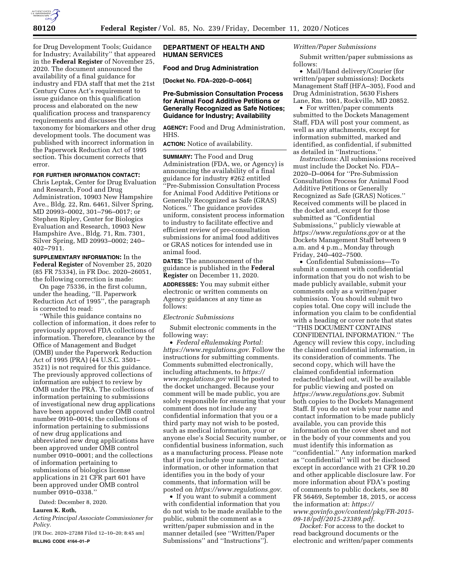

for Drug Development Tools; Guidance for Industry; Availability'' that appeared in the **Federal Register** of November 25, 2020. The document announced the availability of a final guidance for industry and FDA staff that met the 21st Century Cures Act's requirement to issue guidance on this qualification process and elaborated on the new qualification process and transparency requirements and discusses the taxonomy for biomarkers and other drug development tools. The document was published with incorrect information in the Paperwork Reduction Act of 1995 section. This document corrects that error.

### **FOR FURTHER INFORMATION CONTACT:**

Chris Leptak, Center for Drug Evaluation and Research, Food and Drug Administration, 10903 New Hampshire Ave., Bldg. 22, Rm. 6461, Silver Spring, MD 20993–0002, 301–796–0017; or Stephen Ripley, Center for Biologics Evaluation and Research, 10903 New Hampshire Ave., Bldg. 71, Rm. 7301, Silver Spring, MD 20993–0002; 240– 402–7911.

**SUPPLEMENTARY INFORMATION:** In the **Federal Register** of November 25, 2020 (85 FR 75334), in FR Doc. 2020–26051, the following correction is made:

On page 75336, in the first column, under the heading, ''II. Paperwork Reduction Act of 1995'', the paragraph is corrected to read:

''While this guidance contains no collection of information, it does refer to previously approved FDA collections of information. Therefore, clearance by the Office of Management and Budget (OMB) under the Paperwork Reduction Act of 1995 (PRA) (44 U.S.C. 3501– 3521) is not required for this guidance. The previously approved collections of information are subject to review by OMB under the PRA. The collections of information pertaining to submissions of investigational new drug applications have been approved under OMB control number 0910–0014; the collections of information pertaining to submissions of new drug applications and abbreviated new drug applications have been approved under OMB control number 0910–0001; and the collections of information pertaining to submissions of biologics license applications in 21 CFR part 601 have been approved under OMB control number 0910–0338.''

Dated: December 8, 2020.

# **Lauren K. Roth,**

*Acting Principal Associate Commissioner for Policy.* 

[FR Doc. 2020–27288 Filed 12–10–20; 8:45 am] **BILLING CODE 4164–01–P** 

# **DEPARTMENT OF HEALTH AND HUMAN SERVICES**

# **Food and Drug Administration**

**[Docket No. FDA–2020–D–0064]** 

# **Pre-Submission Consultation Process for Animal Food Additive Petitions or Generally Recognized as Safe Notices; Guidance for Industry; Availability**

**AGENCY:** Food and Drug Administration, HHS.

**ACTION:** Notice of availability.

**SUMMARY:** The Food and Drug Administration (FDA, we, or Agency) is announcing the availability of a final guidance for industry #262 entitled ''Pre-Submission Consultation Process for Animal Food Additive Petitions or Generally Recognized as Safe (GRAS) Notices.'' The guidance provides uniform, consistent process information to industry to facilitate effective and efficient review of pre-consultation submissions for animal food additives or GRAS notices for intended use in animal food.

**DATES:** The announcement of the guidance is published in the **Federal Register** on December 11, 2020.

**ADDRESSES:** You may submit either electronic or written comments on Agency guidances at any time as follows:

#### *Electronic Submissions*

Submit electronic comments in the following way:

• *Federal eRulemaking Portal: [https://www.regulations.gov.](https://www.regulations.gov)* Follow the instructions for submitting comments. Comments submitted electronically, including attachments, to *[https://](https://www.regulations.gov) [www.regulations.gov](https://www.regulations.gov)* will be posted to the docket unchanged. Because your comment will be made public, you are solely responsible for ensuring that your comment does not include any confidential information that you or a third party may not wish to be posted, such as medical information, your or anyone else's Social Security number, or confidential business information, such as a manufacturing process. Please note that if you include your name, contact information, or other information that identifies you in the body of your comments, that information will be posted on *[https://www.regulations.gov.](https://www.regulations.gov)* 

• If you want to submit a comment with confidential information that you do not wish to be made available to the public, submit the comment as a written/paper submission and in the manner detailed (see ''Written/Paper Submissions'' and ''Instructions'').

### *Written/Paper Submissions*

Submit written/paper submissions as follows:

• Mail/Hand delivery/Courier (for written/paper submissions): Dockets Management Staff (HFA–305), Food and Drug Administration, 5630 Fishers Lane, Rm. 1061, Rockville, MD 20852.

• For written/paper comments submitted to the Dockets Management Staff, FDA will post your comment, as well as any attachments, except for information submitted, marked and identified, as confidential, if submitted as detailed in ''Instructions.''

*Instructions:* All submissions received must include the Docket No. FDA– 2020–D–0064 for ''Pre-Submission Consultation Process for Animal Food Additive Petitions or Generally Recognized as Safe (GRAS) Notices.'' Received comments will be placed in the docket and, except for those submitted as ''Confidential Submissions,'' publicly viewable at *<https://www.regulations.gov>* or at the Dockets Management Staff between 9 a.m. and 4 p.m., Monday through Friday, 240–402–7500.

• Confidential Submissions—To submit a comment with confidential information that you do not wish to be made publicly available, submit your comments only as a written/paper submission. You should submit two copies total. One copy will include the information you claim to be confidential with a heading or cover note that states ''THIS DOCUMENT CONTAINS CONFIDENTIAL INFORMATION.'' The Agency will review this copy, including the claimed confidential information, in its consideration of comments. The second copy, which will have the claimed confidential information redacted/blacked out, will be available for public viewing and posted on *[https://www.regulations.gov.](https://www.regulations.gov)* Submit both copies to the Dockets Management Staff. If you do not wish your name and contact information to be made publicly available, you can provide this information on the cover sheet and not in the body of your comments and you must identify this information as ''confidential.'' Any information marked as ''confidential'' will not be disclosed except in accordance with 21 CFR 10.20 and other applicable disclosure law. For more information about FDA's posting of comments to public dockets, see 80 FR 56469, September 18, 2015, or access the information at: *[https://](https://www.govinfo.gov/content/pkg/FR-2015-09-18/pdf/2015-23389.pdf) [www.govinfo.gov/content/pkg/FR-2015-](https://www.govinfo.gov/content/pkg/FR-2015-09-18/pdf/2015-23389.pdf) [09-18/pdf/2015-23389.pdf.](https://www.govinfo.gov/content/pkg/FR-2015-09-18/pdf/2015-23389.pdf)* 

*Docket:* For access to the docket to read background documents or the electronic and written/paper comments